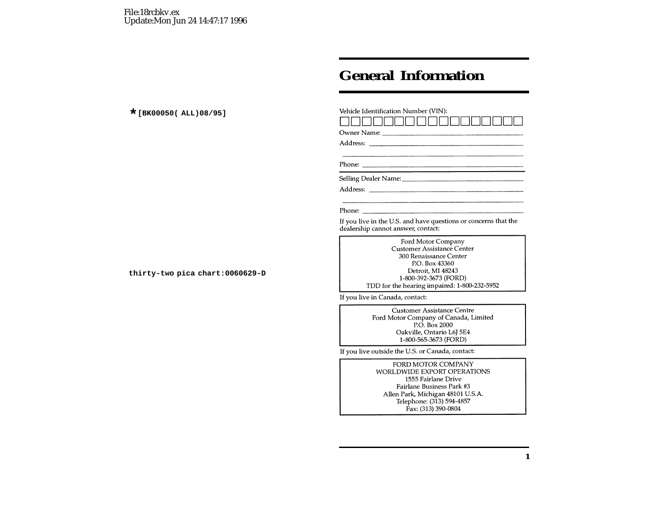# **General Information**

| Vehicle Identification Number (VIN):                                                                                                                                                                                                    |  |  |  |
|-----------------------------------------------------------------------------------------------------------------------------------------------------------------------------------------------------------------------------------------|--|--|--|
| Phone:                                                                                                                                                                                                                                  |  |  |  |
| Selling Dealer Name: ________________________________                                                                                                                                                                                   |  |  |  |
|                                                                                                                                                                                                                                         |  |  |  |
| Phone:<br>the control of the control of the control of the control of the control of the control of the control of the control of the control of the control of the control of the control of the control of the control of the control |  |  |  |
| If you live in the U.S. and have questions or concerns that the<br>dealership cannot answer, contact:                                                                                                                                   |  |  |  |
| Ford Motor Company<br><b>Customer Assistance Center</b><br>300 Renaissance Center<br>P.O. Box 43360<br>Detroit, MI 48243<br>1-800-392-3673 (FORD)<br>TDD for the hearing impaired: 1-800-232-5952                                       |  |  |  |
| If you live in Canada, contact:                                                                                                                                                                                                         |  |  |  |
| <b>Customer Assistance Centre</b><br>Ford Motor Company of Canada, Limited<br>P.O. Box 2000                                                                                                                                             |  |  |  |

If you live outside the U.S. or Canada, contact:

FORD MOTOR COMPANY WORLDWIDE EXPORT OPERATIONS 1555 Fairlane Drive Fairlane Business Park #3 Allen Park, Michigan 48101 U.S.A. Telephone: (313) 594-4857 Fax: (313) 390-0804

Oakville, Ontario L6J 5E4 1-800-565-3673 (FORD)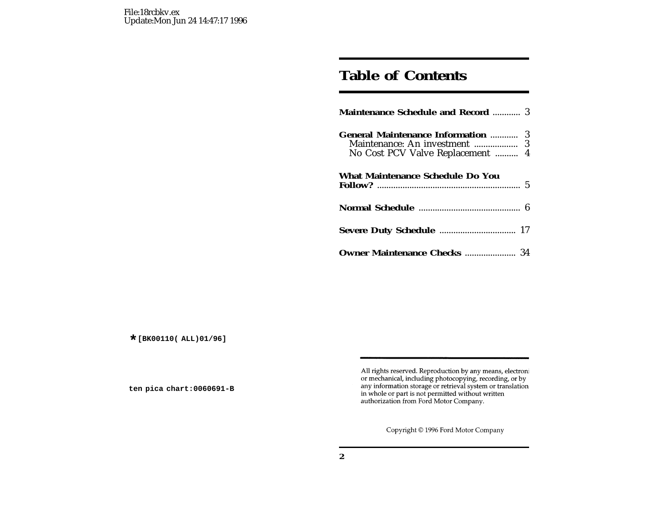# **Table of Contents**

| <b>Maintenance Schedule and Record  3</b>                                     |  |
|-------------------------------------------------------------------------------|--|
| <b>General Maintenance Information </b> 3<br>No Cost PCV Valve Replacement  4 |  |
| <b>What Maintenance Schedule Do You</b>                                       |  |
|                                                                               |  |
|                                                                               |  |
| Owner Maintenance Checks  34                                                  |  |

Copyright © 1996 Ford Motor Company

All rights reserved. Reproduction by any means, electroni or mechanical, including photocopying, recording, or by<br>any information storage or retrieval system or translation in whole or part is not permitted without written authorization from Ford Motor Company.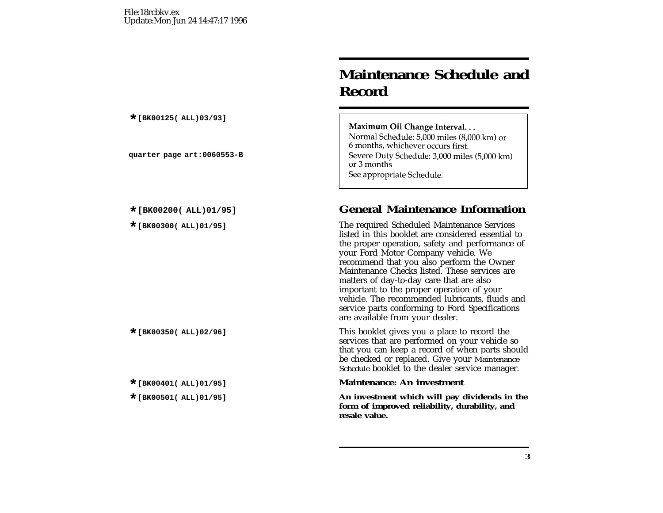# **Maintenance Schedule andRecord**

#### Maximum Oil Change Interval...

Normal Schedule: 5,000 miles (8,000 km) or 6 months, whichever occurs first. Severe Duty Schedule: 3,000 miles (5,000 km) or 3 months See appropriate Schedule.

# **\*[BK00200( ALL)01/95] General Maintenance Information**

**\*[BK00300( ALL)01/95]** The required Scheduled Maintenance Services listed in this booklet are considered essential tothe proper operation, safety and performance of your Ford Motor Company vehicle. We recommend that you also perform the Owner Maintenance Checks listed. These services arematters of day-to-day care that are also important to the proper operation of your vehicle. The recommended lubricants, fluids and service parts conforming to Ford Specifications are available from your dealer.

This booklet gives you a place to record the services that are performed on your vehicle so that you can keep <sup>a</sup> record of when parts should be checked or replaced. Give your *Maintenance Schedule* booklet to the dealer service manager.

#### **\*[BK00401( ALL)01/95] Maintenance: An investment**

**\*[BK00501( ALL)01/95] An investment which will pay dividends in the form of improved reliability, durability, and resale value.**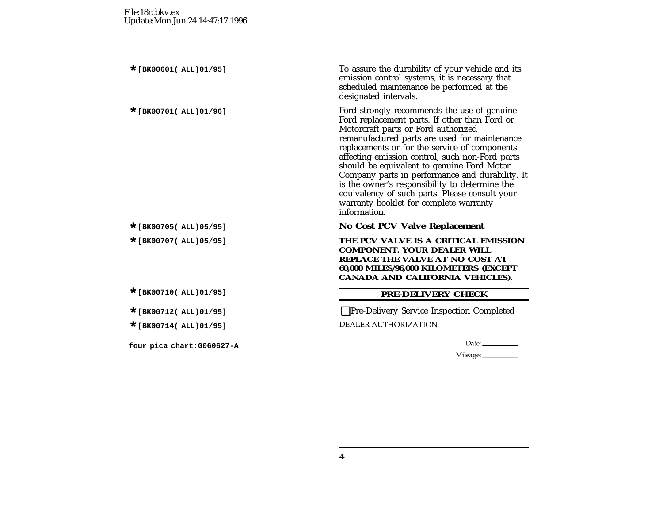To assure the durability of your vehicle and its emission control systems, it is necessary that scheduled maintenance be performed at the designated intervals.

Ford strongly recommends the use of genuine Ford replacement parts. If other than Ford or Motorcraft parts or Ford authorized remanufactured parts are used for maintenance replacements or for the service of components affecting emission control, such non-Ford parts should be equivalent to genuine Ford Motor Company parts in performance and durability. It is the owner's responsibility to determine the equivalency of such parts. Please consult your warranty booklet for complete warranty information.

#### **\*[BK00705( ALL)05/95] No Cost PCV Valve Replacement**

**\*[BK00707( ALL)05/95] THE PCV VALVE IS A CRITICAL EMISSION COMPONENT. YOUR DEALER WILLREPLACE THE VALVE AT NO COST AT60,000 MILES/96,000 KILOMETERS (EXCEPT CANADA AND CALIFORNIA VEHICLES).**

#### **\*[BK00710( ALL)01/95] PRE-DELIVERY CHECK**

**\*[BK00712( ALL)01/95]** ❑Pre-Delivery Service Inspection Completed **DEALER AUTHORIZATION** 

Date:  $\frac{1}{2}$ 

Mileage: \_\_\_\_\_\_\_\_\_\_\_\_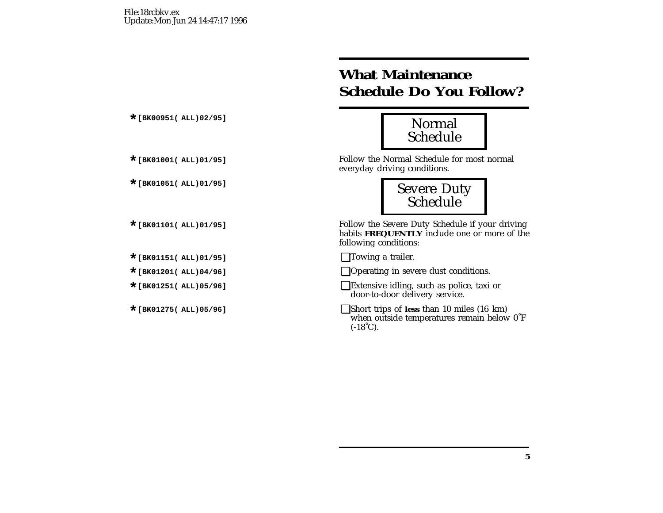# **What Maintenance Schedule Do You Follow?**



Follow the Normal Schedule for most normal everyday driving conditions.



Follow the Severe Duty Schedule if your driving habits **FREQUENTLY** include one or more of the following conditions:

**\*[BK01151( ALL)01/95]** ❑Towing <sup>a</sup> trailer.

**\*[BK01201( ALL)04/96]** ❑Operating in severe dust conditions.

**Extensive idling, such as police, taxi or** door-to-door delivery service.

**■**Short trips of **less** than 10 miles (16 km) when outside temperatures remain below 0˚F  $(-18^{\circ}C)$ .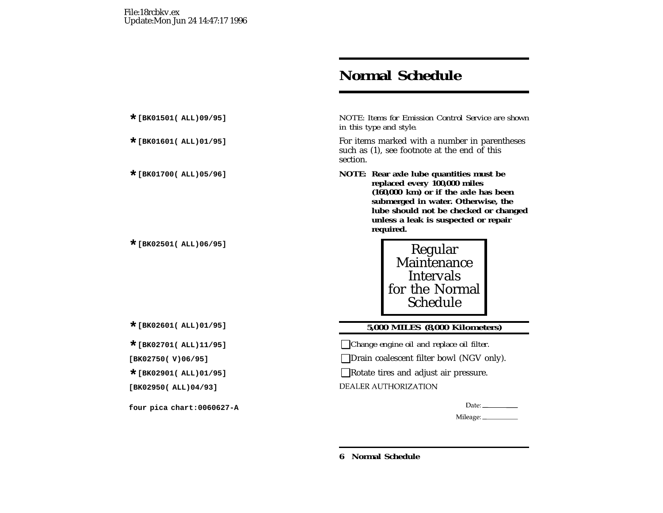# **Normal Schedule**

**\*[BK01501( ALL)09/95]** *NOTE: Items for Emission Control Service are shown in this type and style.*

For items marked with a number in parentheses such as (1), see footnote at the end of this section.

**\*[BK01700( ALL)05/96] NOTE: Rear axle lube quantities must be replaced every 100,000 miles (160,000 km) or if the axle has been submerged in water. Otherwise, the lube should not be checked or changed unless <sup>a</sup> leak is suspected or repair required.**



### **\*[BK02601( ALL)01/95] 5,000 MILES (8,000 Kilometers)**

**\*[BK02701( ALL)11/95]** ❑*Change engine oil and replace oil filter.*

**[BK02750( V)06/95]** ❑Drain coalescent filter bowl (NGV only).

**■**Rotate tires and adjust air pressure.

**DEALER AUTHORIZATION** 

Date:

Mileage: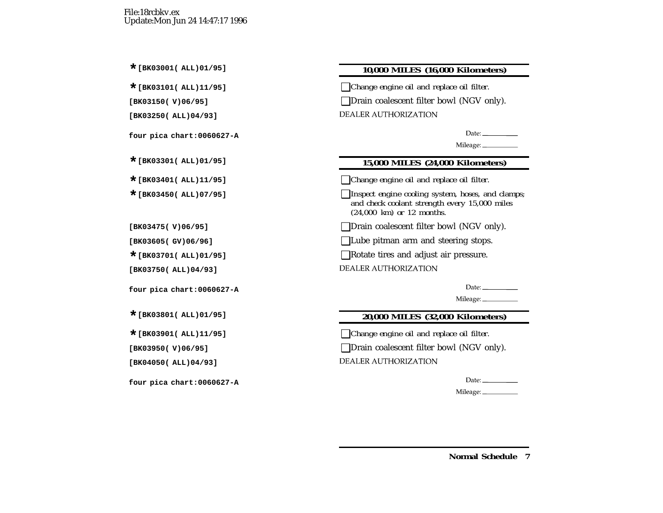### **\*[BK03001( ALL)01/95] 10,000 MILES (16,000 Kilometers)**

**\*[BK03101( ALL)11/95]** ❑*Change engine oil and replace oil filter.*

**[BK03150( V)06/95]** ❑Drain coalescent filter bowl (NGV only).

**DEALER AUTHORIZATION** 

Date:  $\_\_$ 

Mileage: \_\_\_\_\_\_\_\_\_\_\_

# **\*[BK03301( ALL)01/95] 15,000 MILES (24,000 Kilometers)**

**\*[BK03401( ALL)11/95]** ❑*Change engine oil and replace oil filter.*

**\*[BK03450( ALL)07/95]** ❑*Inspect engine cooling system, hoses, and clamps; and check coolant strength every 15,000 miles (24,000 km) or 12 months.*

**[BK03475( V)06/95]** ❑Drain coalescent filter bowl (NGV only).

**[BK03605( GV)06/96]** ❑Lube pitman arm and steering stops.

**■Rotate tires and adjust air pressure.** 

**DEALER AUTHORIZATION** 

Date:  $\frac{1}{\sqrt{1-\frac{1}{2}}\cdot\frac{1}{2}}$ 

Mileage: \_\_\_\_\_\_\_\_\_

# **\*[BK03801( ALL)01/95] 20,000 MILES (32,000 Kilometers)**

**\*[BK03901( ALL)11/95]** ❑*Change engine oil and replace oil filter.*

**[BK03950( V)06/95]** ❑Drain coalescent filter bowl (NGV only).

**DEALER AUTHORIZATION** 

Date:  $\_\_$ 

Mileage: \_\_\_\_\_\_\_\_\_\_\_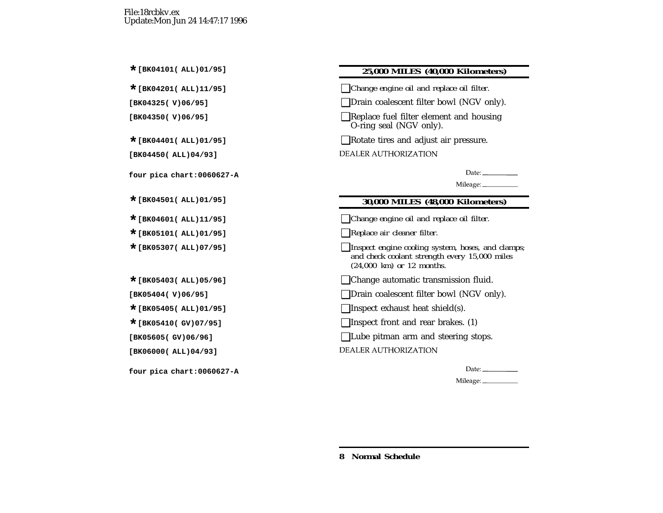#### **\*[BK04101( ALL)01/95] 25,000 MILES (40,000 Kilometers)**

**\*[BK04201( ALL)11/95]** ❑*Change engine oil and replace oil filter.*

**□Drain coalescent filter bowl (NGV only).** 

**[BK04350( V)06/95]** ❑Replace fuel filter element and housing O-ring seal (NGV only).

**\*[BK04401( ALL)01/95]** ❑Rotate tires and adjust air pressure.

**DEALER AUTHORIZATION** 

Date:  $\frac{1}{2}$ 

Mileage: \_\_\_\_\_\_\_\_\_\_\_\_

### **\*[BK04501( ALL)01/95] 30,000 MILES (48,000 Kilometers)**

**\*[BK04601( ALL)11/95]** ❑*Change engine oil and replace oil filter.*

**\*[BK05101( ALL)01/95]** ❑*Replace air cleaner filter.*

**\*[BK05307( ALL)07/95]** ❑*Inspect engine cooling system, hoses, and clamps; and check coolant strength every 15,000 miles (24,000 km) or 12 months.*

**\*[BK05403( ALL)05/96]** ❑Change automatic transmission fluid.

**□Drain coalescent filter bowl (NGV only).** 

**\*[BK05405( ALL)01/95]** ❑Inspect exhaust heat shield(s).

**\*[BK05410( GV)07/95]** ❑Inspect front and rear brakes. (1)

**[BK05605( GV)06/96]** ❑Lube pitman arm and steering stops.

**DEALER AUTHORIZATION** 

| Llate:<br>w |  |
|-------------|--|
|-------------|--|

Mileage: \_\_\_\_\_\_\_\_

**8 Normal Schedule**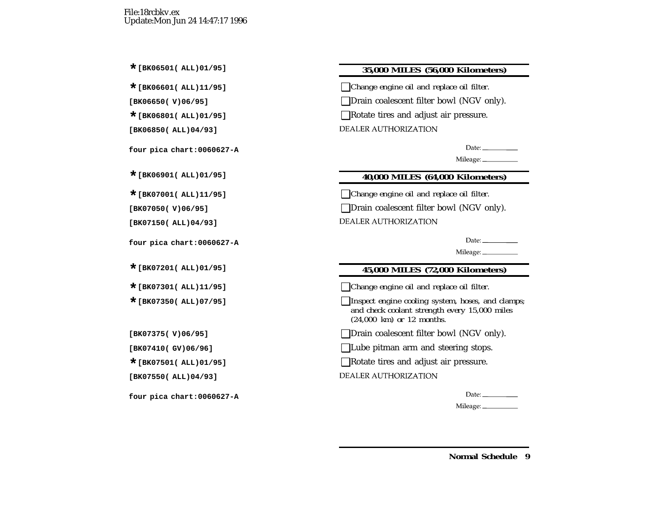#### **\*[BK06501( ALL)01/95] 35,000 MILES (56,000 Kilometers)**

**\*[BK06601( ALL)11/95]** ❑*Change engine oil and replace oil filter.*

**[BK06650( V)06/95]** ❑Drain coalescent filter bowl (NGV only).

■Rotate tires and adjust air pressure.

**DEALER AUTHORIZATION** 

Date:  $\_\_$ 

Mileage: \_\_\_\_\_\_\_\_\_\_\_

# **\*[BK06901( ALL)01/95] 40,000 MILES (64,000 Kilometers)**

**\*[BK07001( ALL)11/95]** ❑*Change engine oil and replace oil filter.*

**[BK07050( V)06/95]** ❑Drain coalescent filter bowl (NGV only).

**DEALER AUTHORIZATION** 

Date: $\_\_$ 

Mileage:

# **\*[BK07201( ALL)01/95] 45,000 MILES (72,000 Kilometers)**

**\*[BK07301( ALL)11/95]** ❑*Change engine oil and replace oil filter.*

**\*[BK07350( ALL)07/95]** ❑*Inspect engine cooling system, hoses, and clamps; and check coolant strength every 15,000 miles (24,000 km) or 12 months.*

**[BK07375( V)06/95]** ❑Drain coalescent filter bowl (NGV only).

**[BK07410( GV)06/96]** ❑Lube pitman arm and steering stops.

**\*[BK07501( ALL)01/95]** ❑Rotate tires and adjust air pressure.

**DEALER AUTHORIZATION** 

Date:  $\frac{1}{\sqrt{1-\frac{1}{2}}\sqrt{1-\frac{1}{2}}\sqrt{1-\frac{1}{2}}\sqrt{1-\frac{1}{2}}}}$ 

Mileage: \_\_\_\_\_\_\_\_\_\_\_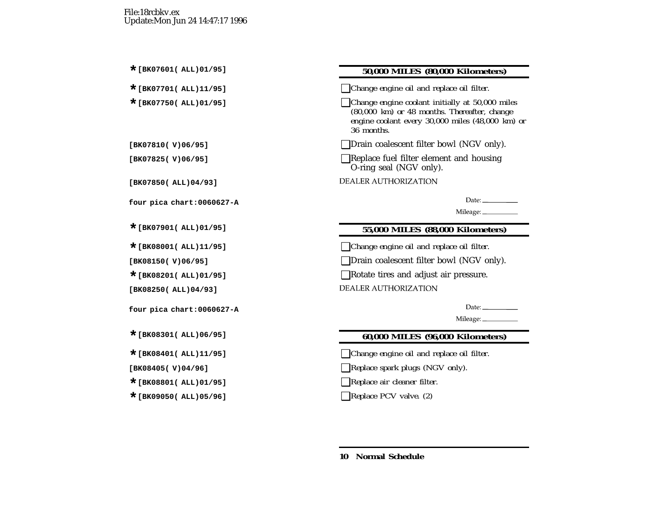#### **\*[BK07601( ALL)01/95] 50,000 MILES (80,000 Kilometers)**

**\*[BK07701( ALL)11/95]** ❑*Change engine oil and replace oil filter.*

**\*[BK07750( ALL)01/95]** ❑*Change engine coolant initially at 50,000 miles (80,000 km) or 48 months. Thereafter, change engine coolant every 30,000 miles (48,000 km) or 36 months.*

**□Drain coalescent filter bowl (NGV only).** 

**[BK07825( V)06/95]** ❑Replace fuel filter element and housing O-ring seal (NGV only).

**DEALER AUTHORIZATION** 

Date:  $\_\_$ 

Mileage: \_\_\_\_\_\_\_\_\_\_\_\_

#### **\*[BK07901( ALL)01/95] 55,000 MILES (88,000 Kilometers)**

**\*[BK08001( ALL)11/95]** ❑*Change engine oil and replace oil filter.*

**□Drain coalescent filter bowl (NGV only).** 

**■Rotate tires and adjust air pressure.** 

**DEALER AUTHORIZATION** 

Date:  $\frac{1}{\sqrt{1-\frac{1}{2}}\cdot\frac{1}{\sqrt{1-\frac{1}{2}}}}$ 

Mileage: \_\_\_\_\_\_\_\_\_\_\_\_

#### **\*[BK08301( ALL)06/95] 60,000 MILES (96,000 Kilometers)**

**\*[BK08401( ALL)11/95]** ❑*Change engine oil and replace oil filter.*

**[BK08405( V)04/96]** ❑*Replace spark plugs (NGV only).*

**\*[BK08801( ALL)01/95]** ❑*Replace air cleaner filter.*

**\*[BK09050( ALL)05/96]** ❑*Replace PCV valve. (2)*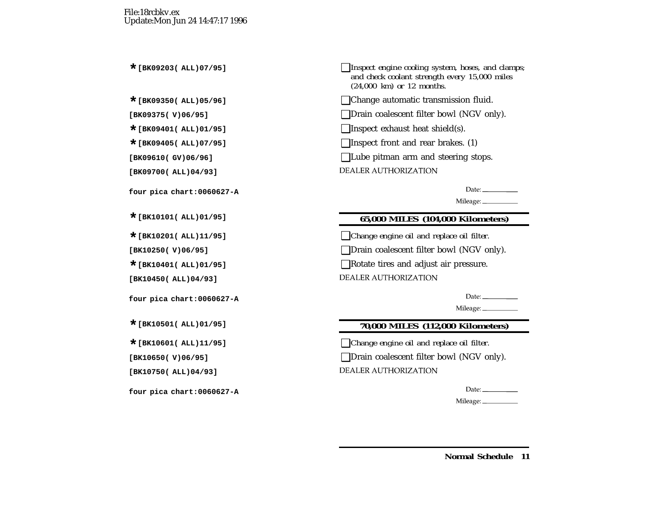**\*[BK09203( ALL)07/95]** ❑*Inspect engine cooling system, hoses, and clamps; and check coolant strength every 15,000 miles (24,000 km) or 12 months.*

**\*[BK09350( ALL)05/96]** ❑Change automatic transmission fluid.

**[BK09375( V)06/95]** ❑Drain coalescent filter bowl (NGV only).

**\*[BK09401( ALL)01/95]** ❑Inspect exhaust heat shield(s).

**■**Inspect front and rear brakes. (1)

**[BK09610( GV)06/96]** ❑Lube pitman arm and steering stops.

**DEALER AUTHORIZATION** 

Date:

Mileage: \_\_\_\_\_\_\_\_\_\_

# **\*[BK10101( ALL)01/95] 65,000 MILES (104,000 Kilometers)**

**\*[BK10201( ALL)11/95]** ❑*Change engine oil and replace oil filter.*

**[BK10250( V)06/95]** ❑Drain coalescent filter bowl (NGV only).

**\*[BK10401( ALL)01/95]** ❑Rotate tires and adjust air pressure.

**DEALER AUTHORIZATION** 

Mileage: \_\_\_\_\_\_\_\_\_\_\_\_

# **\*[BK10501( ALL)01/95] 70,000 MILES (112,000 Kilometers)**

**\*[BK10601( ALL)11/95]** ❑*Change engine oil and replace oil filter.*

**[BK10650( V)06/95]** ❑Drain coalescent filter bowl (NGV only).

**DEALER AUTHORIZATION** 

Date:  $\_\_$ 

Mileage: \_\_\_\_\_\_\_\_\_\_\_

**Normal Schedule 11**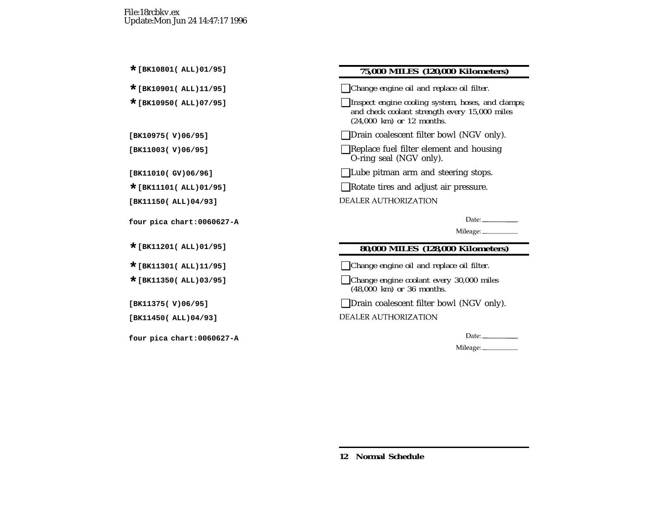#### **\*[BK10801( ALL)01/95] 75,000 MILES (120,000 Kilometers)**

**\*[BK10901( ALL)11/95]** ❑*Change engine oil and replace oil filter.*

**\*[BK10950( ALL)07/95]** ❑*Inspect engine cooling system, hoses, and clamps; and check coolant strength every 15,000 miles (24,000 km) or 12 months.*

**[BK10975( V)06/95]** ❑Drain coalescent filter bowl (NGV only).

**[BK11003( V)06/95]** ❑Replace fuel filter element and housing O-ring seal (NGV only).

**[BK11010( GV)06/96]** ❑Lube pitman arm and steering stops.

**\*[BK11101( ALL)01/95]** ❑Rotate tires and adjust air pressure.

**DEALER AUTHORIZATION** 

Date:  $\_\_$ 

Mileage:

#### **\*[BK11201( ALL)01/95] 80,000 MILES (128,000 Kilometers)**

**\*[BK11301( ALL)11/95]** ❑*Change engine oil and replace oil filter.*

**\*[BK11350( ALL)03/95]** ❑*Change engine coolant every 30,000 miles (48,000 km) or 36 months.*

**□Drain coalescent filter bowl (NGV only).** 

**DEALER AUTHORIZATION** 

Date:  $\_\_$ 

Mileage: \_\_\_\_

**12 Normal Schedule**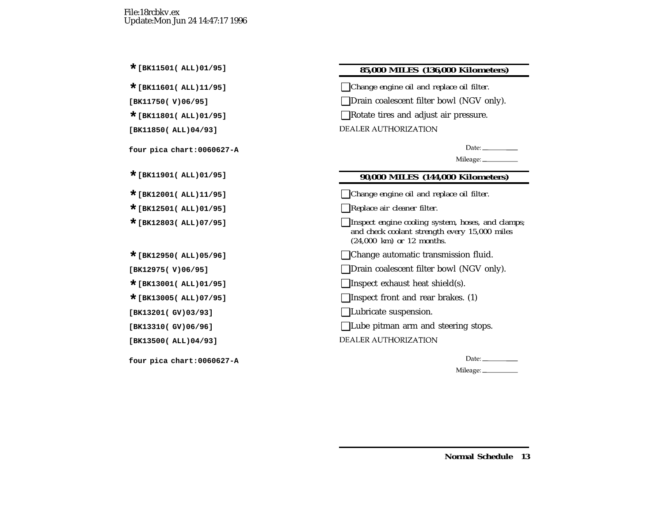# **\*[BK11501( ALL)01/95] 85,000 MILES (136,000 Kilometers)**

**\*[BK11601( ALL)11/95]** ❑*Change engine oil and replace oil filter.*

**[BK11750( V)06/95]** ❑Drain coalescent filter bowl (NGV only).

■Rotate tires and adjust air pressure.

**DEALER AUTHORIZATION** 

Date:  $\_\_$ 

Mileage: \_\_\_\_\_\_\_\_\_\_

### **\*[BK11901( ALL)01/95] 90,000 MILES (144,000 Kilometers)**

**\*[BK12001( ALL)11/95]** ❑*Change engine oil and replace oil filter.*

**\*[BK12501( ALL)01/95]** ❑*Replace air cleaner filter.*

**\*[BK12803( ALL)07/95]** ❑*Inspect engine cooling system, hoses, and clamps; and check coolant strength every 15,000 miles (24,000 km) or 12 months.*

**\*[BK12950( ALL)05/96]** ❑Change automatic transmission fluid.

**[BK12975( V)06/95]** ❑Drain coalescent filter bowl (NGV only).

**\*[BK13001( ALL)01/95]** ❑Inspect exhaust heat shield(s).

**\*[BK13005( ALL)07/95]** ❑Inspect front and rear brakes. (1)

**[BK13201( GV)03/93]** ❑Lubricate suspension.

**[BK13310( GV)06/96]** ❑Lube pitman arm and steering stops.

**DEALER AUTHORIZATION** 

Date:  $\_\_$ 

Mileage: \_\_\_\_\_\_\_\_\_\_\_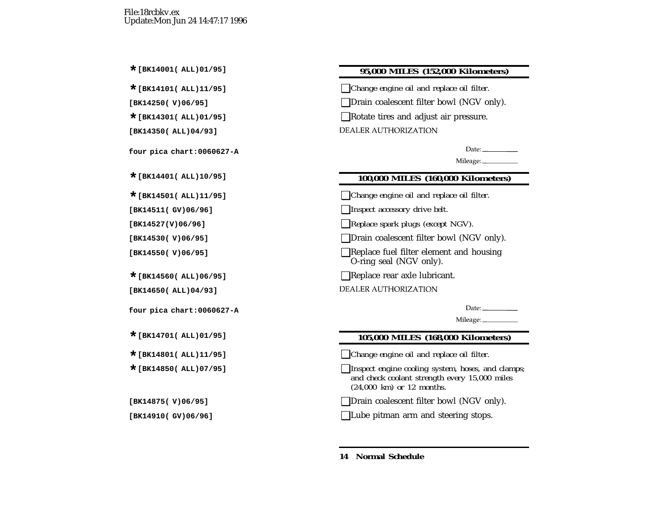#### **\*[BK14001( ALL)01/95] 95,000 MILES (152,000 Kilometers)**

**\*[BK14101( ALL)11/95]** ❑*Change engine oil and replace oil filter.*

**□Drain coalescent filter bowl (NGV only).** 

**■Rotate tires and adjust air pressure.** 

**DEALER AUTHORIZATION** 

Date:  $\frac{1}{\sqrt{1-\frac{1}{2}}\sqrt{1-\frac{1}{2}}\sqrt{1-\frac{1}{2}}\sqrt{1-\frac{1}{2}}\sqrt{1-\frac{1}{2}}\sqrt{1-\frac{1}{2}}\sqrt{1-\frac{1}{2}}\sqrt{1-\frac{1}{2}}\sqrt{1-\frac{1}{2}}\sqrt{1-\frac{1}{2}}\sqrt{1-\frac{1}{2}}\sqrt{1-\frac{1}{2}}\sqrt{1-\frac{1}{2}}\sqrt{1-\frac{1}{2}}\sqrt{1-\frac{1}{2}}\sqrt{1-\frac{1}{2}}\sqrt{1-\frac{1}{2}}\sqrt{1-\frac{1}{2}}\sqrt{1-\frac{1}{2}}$ 

Mileage:

#### **\*[BK14401( ALL)10/95] 100,000 MILES (160,000 Kilometers)**

**\*[BK14501( ALL)11/95]** ❑*Change engine oil and replace oil filter.*

**[BK14511( GV)06/96]** ❑*Inspect accessory drive belt.*

**[BK14527(V)06/96]** ❑*Replace spark plugs (except NGV).*

**□Drain coalescent filter bowl (NGV only).** 

**[BK14550( V)06/95]** ❑Replace fuel filter element and housing O-ring seal (NGV only).

**■ Replace rear axle lubricant.** 

**DEALER AUTHORIZATION** 

Date:  $\_\_$ 

Mileage:

#### **\*[BK14701( ALL)01/95] 105,000 MILES (168,000 Kilometers)**

**\*[BK14801( ALL)11/95]** ❑*Change engine oil and replace oil filter.*

**\*[BK14850( ALL)07/95]** ❑*Inspect engine cooling system, hoses, and clamps; and check coolant strength every 15,000 miles (24,000 km) or 12 months.*

**□Drain coalescent filter bowl (NGV only).** 

**[BK14910( GV)06/96]** ❑Lube pitman arm and steering stops.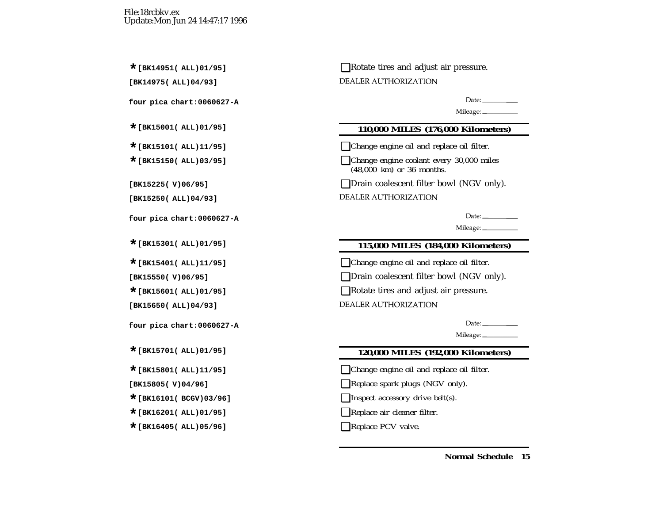**■Rotate tires and adjust air pressure.** 

**DEALER AUTHORIZATION** 

Date:  $\_\_$ 

Mileage: \_\_\_\_\_\_\_\_\_

# **\*[BK15001( ALL)01/95] 110,000 MILES (176,000 Kilometers)**

**\*[BK15101( ALL)11/95]** ❑*Change engine oil and replace oil filter.*

**\*[BK15150( ALL)03/95]** ❑*Change engine coolant every 30,000 miles (48,000 km) or 36 months.*

**[BK15225( V)06/95]** ❑Drain coalescent filter bowl (NGV only).

DEALER AUTHORIZATION

Date:  $\frac{1}{\sqrt{1-\frac{1}{2}}}\frac{1}{\sqrt{1-\frac{1}{2}}}\frac{1}{\sqrt{1-\frac{1}{2}}}\frac{1}{\sqrt{1-\frac{1}{2}}}\frac{1}{\sqrt{1-\frac{1}{2}}}\frac{1}{\sqrt{1-\frac{1}{2}}}\frac{1}{\sqrt{1-\frac{1}{2}}}\frac{1}{\sqrt{1-\frac{1}{2}}}\frac{1}{\sqrt{1-\frac{1}{2}}}\frac{1}{\sqrt{1-\frac{1}{2}}}\frac{1}{\sqrt{1-\frac{1}{2}}}\frac{1}{\sqrt{1-\frac{1}{2}}}\frac{1}{\sqrt{1-\frac{1}{2}}}\frac{1}{\$ 

Mileage:

## **\*[BK15301( ALL)01/95] 115,000 MILES (184,000 Kilometers)**

**\*[BK15401( ALL)11/95]** ❑*Change engine oil and replace oil filter.*

**[BK15550( V)06/95]** ❑Drain coalescent filter bowl (NGV only).

**■Rotate tires and adjust air pressure.** 

**DEALER AUTHORIZATION** 

Date:  $\frac{1}{2}$ 

Mileage: \_\_\_\_\_\_\_\_\_\_\_

# **\*[BK15701( ALL)01/95] 120,000 MILES (192,000 Kilometers)**

**\*[BK15801( ALL)11/95]** ❑*Change engine oil and replace oil filter.*

**[BK15805( V)04/96]** ❑*Replace spark plugs (NGV only).*

**\*[BK16101( BCGV)03/96]** ❑*Inspect accessory drive belt(s).*

**\*[BK16201( ALL)01/95]** ❑*Replace air cleaner filter.*

**\*[BK16405( ALL)05/96]** ❑*Replace PCV valve.*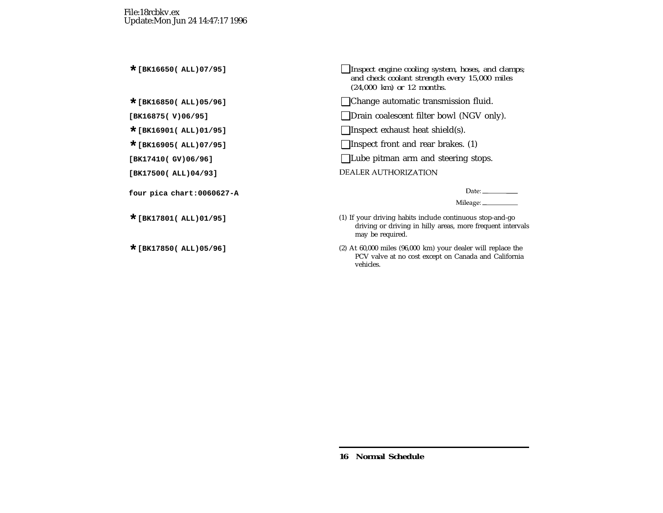**\*[BK16650( ALL)07/95]** ❑*Inspect engine cooling system, hoses, and clamps; and check coolant strength every 15,000 miles (24,000 km) or 12 months.*

**\*[BK16850( ALL)05/96]** ❑Change automatic transmission fluid.

**[BK16875( V)06/95]** ❑Drain coalescent filter bowl (NGV only).

**\*[BK16901( ALL)01/95]** ❑Inspect exhaust heat shield(s).

**\*[BK16905( ALL)07/95]** ❑Inspect front and rear brakes. (1)

**[BK17410( GV)06/96]** ❑Lube pitman arm and steering stops.

**DEALER AUTHORIZATION** 

Date:  $\_\_$ 

Mileage:

- (1) If your driving habits include continuous stop-and-go driving or driving in hilly areas, more frequent intervals may be required.
- (2) At 60,000 miles (96,000 km) your dealer will replace the PCV valve at no cost excep<sup>t</sup> on Canada and California vehicles.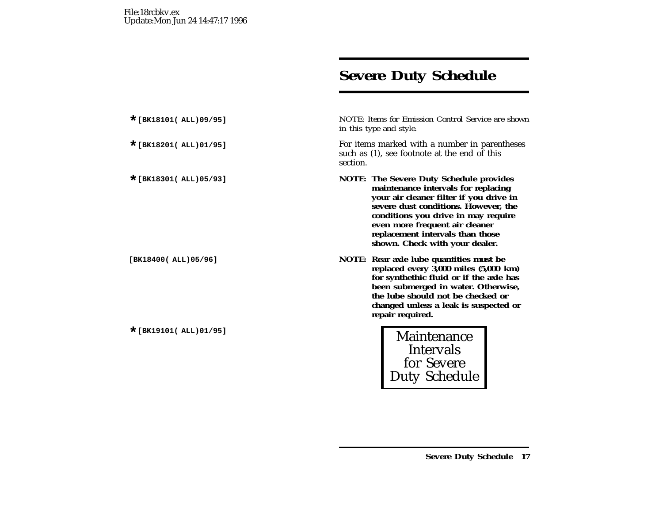# **Severe Duty Schedule**

**\*[BK18101( ALL)09/95]** *NOTE: Items for Emission Control Service are shown in this type and style.*

For items marked with a number in parentheses such as (1), see footnote at the end of this section.

- **\*[BK18301( ALL)05/93] NOTE: The Severe Duty Schedule provides maintenance intervals for replacing your air cleaner filter if you drive in severe dust conditions. However, the conditions you drive in may require even more frequent air cleaner replacement intervals than those shown. Check with your dealer.**
- **[BK18400( ALL)05/96] NOTE: Rear axle lube quantities must be replaced every 3,000 miles (5,000 km) for synthethic fluid or if the axle has been submerged in water. Otherwise, the lube should not be checked orchanged unless <sup>a</sup> leak is suspected or repair required.**

**\*[BK19101( ALL)01/95]** Maintenance Intervals for Severe Duty Schedule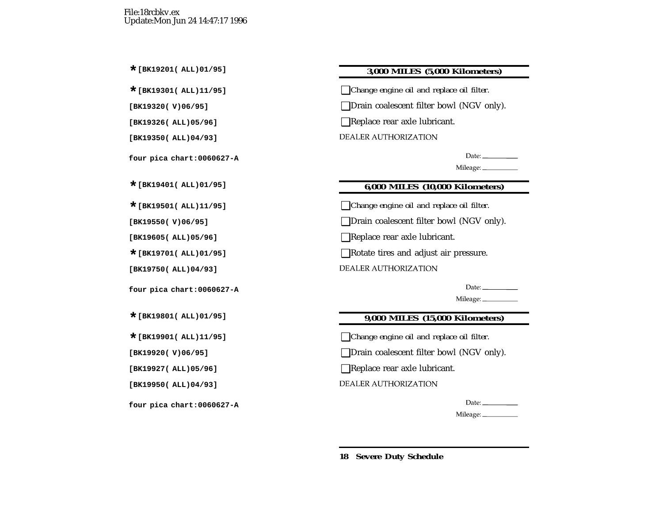#### **\*[BK19201( ALL)01/95] 3,000 MILES (5,000 Kilometers)**

**\*[BK19301( ALL)11/95]** ❑*Change engine oil and replace oil filter.*

**□Drain coalescent filter bowl (NGV only).** 

**[BK19326( ALL)05/96]** ❑Replace rear axle lubricant.

DEALER AUTHORIZATION

Date:  $\frac{1}{\sqrt{1-\frac{1}{2}}\cdot\frac{1}{2}}$ 

Mileage:

# **\*[BK19401( ALL)01/95] 6,000 MILES (10,000 Kilometers)**

**\*[BK19501( ALL)11/95]** ❑*Change engine oil and replace oil filter.*

**[BK19550( V)06/95]** ❑Drain coalescent filter bowl (NGV only).

**[BK19605( ALL)05/96]** ❑Replace rear axle lubricant.

**■Rotate tires and adjust air pressure.** 

**DEALER AUTHORIZATION** 

Date:  $\frac{1}{2}$ 

Mileage: \_\_\_\_\_\_\_\_\_\_\_\_

# **\*[BK19801( ALL)01/95] 9,000 MILES (15,000 Kilometers)**

**\*[BK19901( ALL)11/95]** ❑*Change engine oil and replace oil filter.*

**[BK19920( V)06/95]** ❑Drain coalescent filter bowl (NGV only).

**[BK19927( ALL)05/96]** ❑Replace rear axle lubricant.

DEALER AUTHORIZATION

Date: Mileage: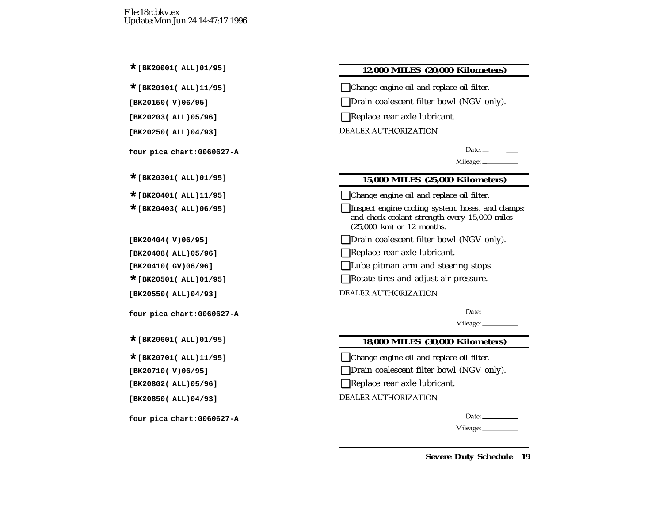#### **\*[BK20001( ALL)01/95] 12,000 MILES (20,000 Kilometers)**

**\*[BK20101( ALL)11/95]** ❑*Change engine oil and replace oil filter.*

**□Drain coalescent filter bowl (NGV only).** 

**[BK20203( ALL)05/96]** ❑Replace rear axle lubricant.

**DEALER AUTHORIZATION** 

Date:  $\_\_$ 

Mileage: \_\_\_\_\_\_\_\_\_\_\_

#### **\*[BK20301( ALL)01/95] 15,000 MILES (25,000 Kilometers)**

**\*[BK20401( ALL)11/95]** ❑*Change engine oil and replace oil filter.*

**\*[BK20403( ALL)06/95]** ❑*Inspect engine cooling system, hoses, and clamps; and check coolant strength every 15,000 miles (25,000 km) or 12 months.*

**[BK20404( V)06/95]** ❑Drain coalescent filter bowl (NGV only).

**[BK20408( ALL)05/96]** ❑Replace rear axle lubricant.

**[BK20410( GV)06/96]** ❑Lube pitman arm and steering stops.

**■Rotate tires and adjust air pressure.** 

DEALER AUTHORIZATION

Date:  $\_\_$ 

Mileage: \_\_\_\_\_\_\_\_\_\_

#### **\*[BK20601( ALL)01/95] 18,000 MILES (30,000 Kilometers)**

**\*[BK20701( ALL)11/95]** ❑*Change engine oil and replace oil filter.*

**□Drain coalescent filter bowl (NGV only).** 

**[BK20802( ALL)05/96]** ❑Replace rear axle lubricant.

**DEALER AUTHORIZATION** 

Date:  $\_\_$ 

Mileage: \_\_\_\_\_\_\_\_\_\_\_\_

**Severe Duty Schedule 19**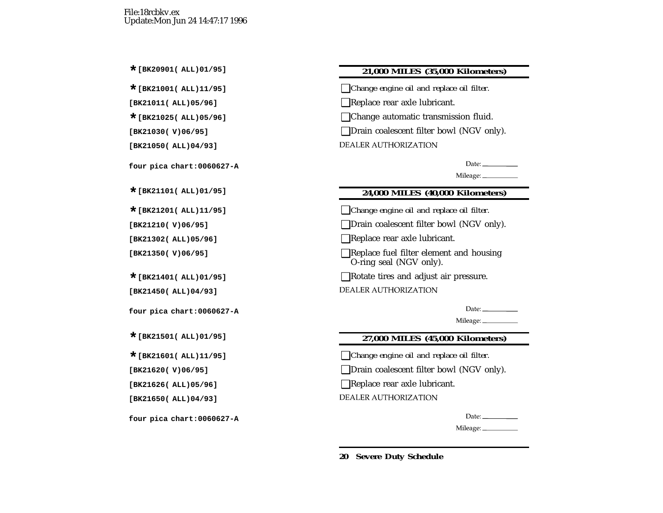#### **\*[BK20901( ALL)01/95] 21,000 MILES (35,000 Kilometers)**

**\*[BK21001( ALL)11/95]** ❑*Change engine oil and replace oil filter.*

**[BK21011( ALL)05/96]** ❑Replace rear axle lubricant.

**\*[BK21025( ALL)05/96]** ❑Change automatic transmission fluid.

**□Drain coalescent filter bowl (NGV only).** 

**DEALER AUTHORIZATION** 

Date:  $\_\_$ 

Mileage:

## **\*[BK21101( ALL)01/95] 24,000 MILES (40,000 Kilometers)**

**\*[BK21201( ALL)11/95]** ❑*Change engine oil and replace oil filter.*

**[BK21210( V)06/95]** ❑Drain coalescent filter bowl (NGV only).

**[BK21302( ALL)05/96]** ❑Replace rear axle lubricant.

**[BK21350( V)06/95]** ❑Replace fuel filter element and housing O-ring seal (NGV only).

**Example 12** Rotate tires and adjust air pressure.

**DEALER AUTHORIZATION** 

Date:  $\_\_\_\_\_\_\_\_\_\_\_\_\_\_\_$ 

Mileage:

### **\*[BK21501( ALL)01/95] 27,000 MILES (45,000 Kilometers)**

**\*[BK21601( ALL)11/95]** ❑*Change engine oil and replace oil filter.*

**□Drain coalescent filter bowl (NGV only).** 

**[BK21626( ALL)05/96]** ❑Replace rear axle lubricant.

**DEALER AUTHORIZATION** 

Date:  $\_\_$ 

Mileage: \_\_\_\_\_\_\_\_\_\_\_\_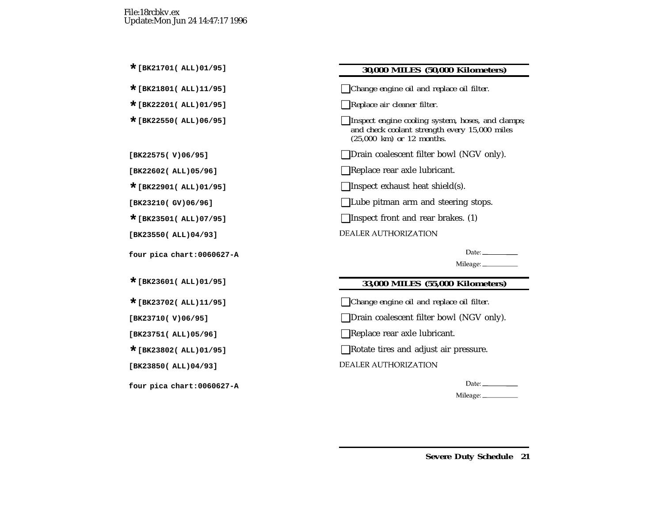#### **\*[BK21701( ALL)01/95] 30,000 MILES (50,000 Kilometers)**

**\*[BK21801( ALL)11/95]** ❑*Change engine oil and replace oil filter.*

**\*[BK22201( ALL)01/95]** ❑*Replace air cleaner filter.*

**\*[BK22550( ALL)06/95]** ❑*Inspect engine cooling system, hoses, and clamps; and check coolant strength every 15,000 miles (25,000 km) or 12 months.*

**[BK22575( V)06/95]** ❑Drain coalescent filter bowl (NGV only).

**[BK22602( ALL)05/96]** ❑Replace rear axle lubricant.

**\*[BK22901( ALL)01/95]** ❑Inspect exhaust heat shield(s).

**[BK23210( GV)06/96]** ❑Lube pitman arm and steering stops.

**\*[BK23501( ALL)07/95]** ❑Inspect front and rear brakes. (1)

**DEALER AUTHORIZATION** 

Date:  $\qquad \qquad$ 

Mileage:

### **\*[BK23601( ALL)01/95] 33,000 MILES (55,000 Kilometers)**

**\*[BK23702( ALL)11/95]** ❑*Change engine oil and replace oil filter.*

**[BK23710( V)06/95]** ❑Drain coalescent filter bowl (NGV only).

**[BK23751( ALL)05/96]** ❑Replace rear axle lubricant.

**■Rotate tires and adjust air pressure.** 

**DEALER AUTHORIZATION** 

Date:\_\_\_\_\_\_\_\_\_\_\_\_

Mileage:

**Severe Duty Schedule 21**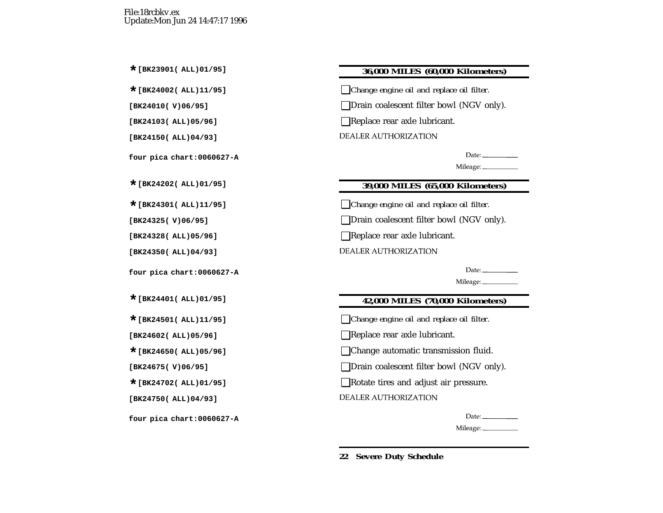#### **\*[BK23901( ALL)01/95] 36,000 MILES (60,000 Kilometers)**

**\*[BK24002( ALL)11/95]** ❑*Change engine oil and replace oil filter.*

**[BK24010( V)06/95]** ❑Drain coalescent filter bowl (NGV only).

**[BK24103( ALL)05/96]** ❑Replace rear axle lubricant.

**DEALER AUTHORIZATION** 

Date:  $\frac{1}{\sqrt{1-\frac{1}{2}}\cdot\frac{1}{2}}$ 

Mileage: \_\_\_\_\_\_\_\_\_

## **\*[BK24202( ALL)01/95] 39,000 MILES (65,000 Kilometers)**

**\*[BK24301( ALL)11/95]** ❑*Change engine oil and replace oil filter.*

**[BK24325( V)06/95]** ❑Drain coalescent filter bowl (NGV only).

**[BK24328( ALL)05/96]** ❑Replace rear axle lubricant.

**DEALER AUTHORIZATION** 

Date:  $\qquad \qquad$ 

Mileage: \_\_\_\_\_\_\_\_\_\_

# **\*[BK24401( ALL)01/95] 42,000 MILES (70,000 Kilometers)**

**\*[BK24501( ALL)11/95]** ❑*Change engine oil and replace oil filter.*

**[BK24602( ALL)05/96]** ❑Replace rear axle lubricant.

■ Change automatic transmission fluid.

**[BK24675( V)06/95]** ❑Drain coalescent filter bowl (NGV only).

**\*[BK24702( ALL)01/95]** ❑Rotate tires and adjust air pressure.

**DEALER AUTHORIZATION** 

Date:  $\_\_$ 

Mileage: \_\_\_\_\_\_\_\_\_\_\_\_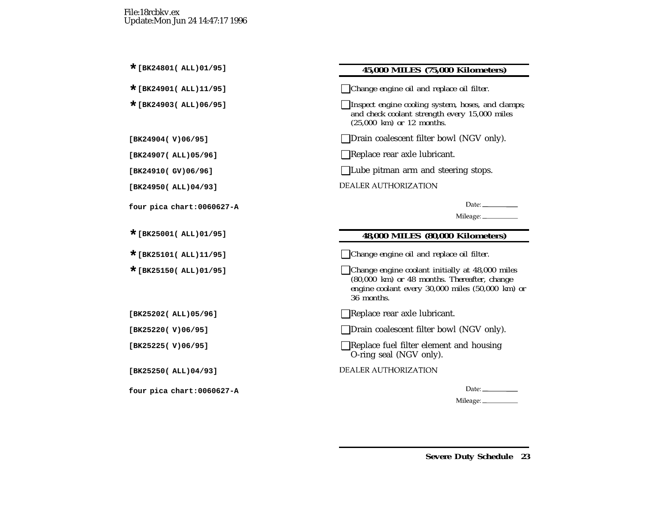#### **\*[BK24801( ALL)01/95] 45,000 MILES (75,000 Kilometers)**

**\*[BK24901( ALL)11/95]** ❑*Change engine oil and replace oil filter.*

- **\*[BK24903( ALL)06/95]** ❑*Inspect engine cooling system, hoses, and clamps; and check coolant strength every 15,000 miles (25,000 km) or 12 months.*
- **[BK24904( V)06/95]** ❑Drain coalescent filter bowl (NGV only).

**[BK24907( ALL)05/96]** ❑Replace rear axle lubricant.

**[BK24910( GV)06/96]** ❑Lube pitman arm and steering stops.

**DEALER AUTHORIZATION** 

Date:  $\_\_$ 

#### **\*[BK25001( ALL)01/95] 48,000 MILES (80,000 Kilometers)**

**\*[BK25101( ALL)11/95]** ❑*Change engine oil and replace oil filter.*

**\*[BK25150( ALL)01/95]** ❑*Change engine coolant initially at 48,000 miles (80,000 km) or 48 months. Thereafter, change engine coolant every 30,000 miles (50,000 km) or 36 months.*

**[BK25202( ALL)05/96]** ❑Replace rear axle lubricant.

**[BK25220( V)06/95]** ❑Drain coalescent filter bowl (NGV only).

**[BK25225( V)06/95]** ❑Replace fuel filter element and housing O-ring seal (NGV only).

DEALER AUTHORIZATION

Date:  $\_\_$ 

Mileage: \_\_\_\_\_\_\_\_\_\_\_\_

**Severe Duty Schedule 23**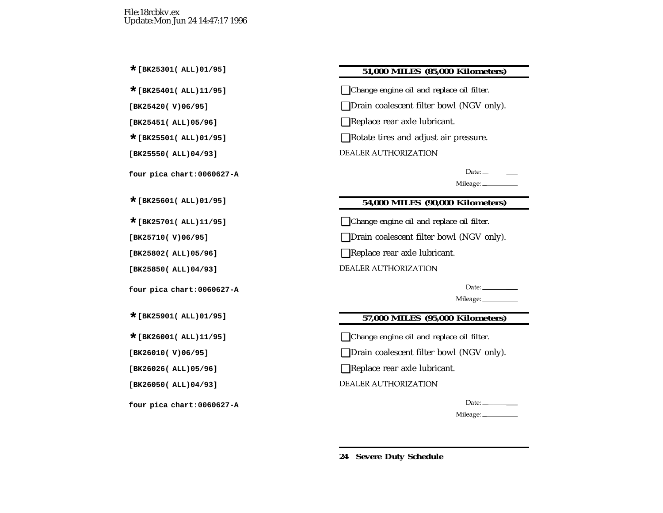#### **\*[BK25301( ALL)01/95] 51,000 MILES (85,000 Kilometers)**

**\*[BK25401( ALL)11/95]** ❑*Change engine oil and replace oil filter.*

**□Drain coalescent filter bowl (NGV only).** 

**[BK25451( ALL)05/96]** ❑Replace rear axle lubricant.

**■Rotate tires and adjust air pressure.** 

**DEALER AUTHORIZATION** 

Date:\_\_\_\_\_\_\_\_\_\_\_\_

Mileage:

# **\*[BK25601( ALL)01/95] 54,000 MILES (90,000 Kilometers)**

**\*[BK25701( ALL)11/95]** ❑*Change engine oil and replace oil filter.*

**[BK25710( V)06/95]** ❑Drain coalescent filter bowl (NGV only).

**[BK25802( ALL)05/96]** ❑Replace rear axle lubricant.

**DEALER AUTHORIZATION** 

Date:  $\frac{1}{\sqrt{1-\frac{1}{2}}\sqrt{1-\frac{1}{2}}\sqrt{1-\frac{1}{2}}\sqrt{1-\frac{1}{2}}\sqrt{1-\frac{1}{2}}\sqrt{1-\frac{1}{2}}\sqrt{1-\frac{1}{2}}\sqrt{1-\frac{1}{2}}\sqrt{1-\frac{1}{2}}\sqrt{1-\frac{1}{2}}\sqrt{1-\frac{1}{2}}\sqrt{1-\frac{1}{2}}\sqrt{1-\frac{1}{2}}\sqrt{1-\frac{1}{2}}\sqrt{1-\frac{1}{2}}\sqrt{1-\frac{1}{2}}\sqrt{1-\frac{1}{2}}\sqrt{1-\frac{1}{2}}\sqrt{1-\frac{1}{2}}$ 

Mileage: \_\_\_\_\_\_\_\_\_\_\_\_

# **\*[BK25901( ALL)01/95] 57,000 MILES (95,000 Kilometers)**

**\*[BK26001( ALL)11/95]** ❑*Change engine oil and replace oil filter.*

**[BK26010( V)06/95]** ❑Drain coalescent filter bowl (NGV only).

**[BK26026( ALL)05/96]** ❑Replace rear axle lubricant.

DEALER AUTHORIZATION

Date: Mileage: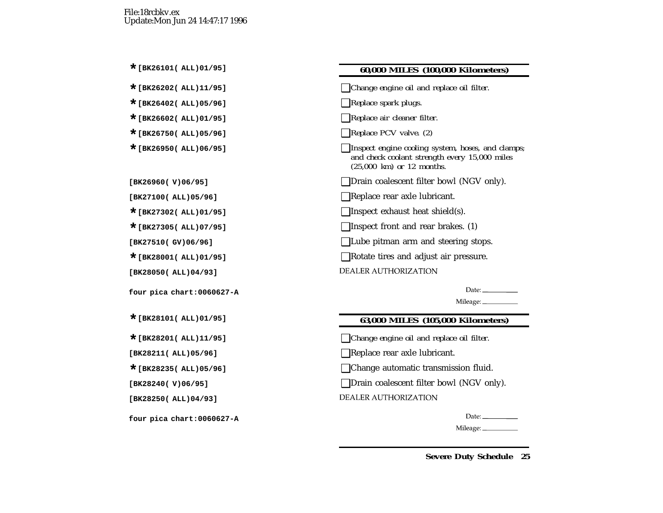## **\*[BK26101( ALL)01/95] 60,000 MILES (100,000 Kilometers)**

- **\*[BK26202( ALL)11/95]** ❑*Change engine oil and replace oil filter.*
- **\*[BK26402( ALL)05/96]** ❑*Replace spark plugs.*
- **\*[BK26602( ALL)01/95]** ❑*Replace air cleaner filter.*
- **\*[BK26750( ALL)05/96]** ❑*Replace PCV valve. (2)*
- **\*[BK26950( ALL)06/95]** ❑*Inspect engine cooling system, hoses, and clamps; and check coolant strength every 15,000 miles (25,000 km) or 12 months.*
- **[BK26960( V)06/95]** ❑Drain coalescent filter bowl (NGV only).
- **[BK27100( ALL)05/96]** ❑Replace rear axle lubricant.
- **\*[BK27302( ALL)01/95]** ❑Inspect exhaust heat shield(s).
- **\*[BK27305( ALL)07/95]** ❑Inspect front and rear brakes. (1)
- **[BK27510( GV)06/96]** ❑Lube pitman arm and steering stops.
- **\*[BK28001( ALL)01/95]** ❑Rotate tires and adjust air pressure.
- **DEALER AUTHORIZATION**

Date:  $\frac{1}{\sqrt{1-\frac{1}{2}}\sqrt{1-\frac{1}{2}}\sqrt{1-\frac{1}{2}}\sqrt{1-\frac{1}{2}}}}$ 

#### **\*[BK28101( ALL)01/95] 63,000 MILES (105,000 Kilometers)**

- **\*[BK28201( ALL)11/95]** ❑*Change engine oil and replace oil filter.*
- **□ Replace rear axle lubricant.**
- **\*[BK28235( ALL)05/96]** ❑Change automatic transmission fluid.
- **□Drain coalescent filter bowl (NGV only).**
- **DEALER AUTHORIZATION**

Date:  $\_\_$ 

Mileage: \_\_\_\_\_\_\_\_\_\_\_

**Severe Duty Schedule 25**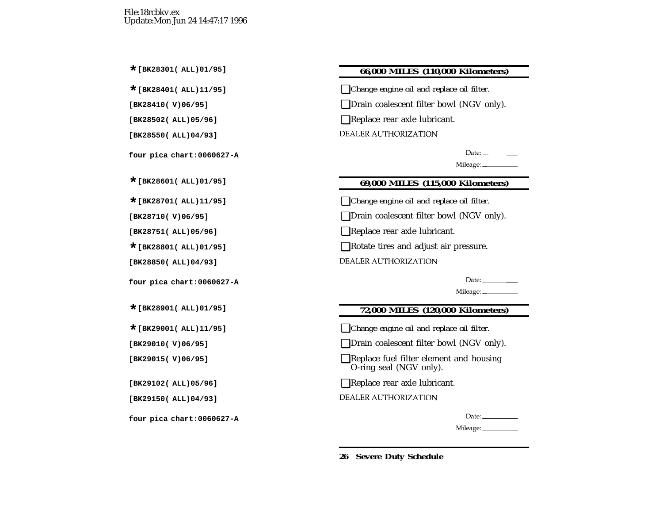#### **\*[BK28301( ALL)01/95] 66,000 MILES (110,000 Kilometers)**

**\*[BK28401( ALL)11/95]** ❑*Change engine oil and replace oil filter.*

**[BK28410( V)06/95]** ❑Drain coalescent filter bowl (NGV only).

**[BK28502( ALL)05/96]** ❑Replace rear axle lubricant.

DEALER AUTHORIZATION

Date:  $\_\_$ 

Mileage: \_\_\_\_\_\_\_\_\_

## **\*[BK28601( ALL)01/95] 69,000 MILES (115,000 Kilometers)**

**\*[BK28701( ALL)11/95]** ❑*Change engine oil and replace oil filter.*

**[BK28710( V)06/95]** ❑Drain coalescent filter bowl (NGV only).

**[BK28751( ALL)05/96]** ❑Replace rear axle lubricant.

**■Rotate tires and adjust air pressure.** 

**DEALER AUTHORIZATION** 

Date:\_\_\_\_\_\_\_\_\_\_\_\_

Mileage: \_\_\_\_\_\_\_\_\_\_

# **\*[BK28901( ALL)01/95] 72,000 MILES (120,000 Kilometers)**

**\*[BK29001( ALL)11/95]** ❑*Change engine oil and replace oil filter.*

**□Drain coalescent filter bowl (NGV only).** 

**[BK29015( V)06/95]** ❑Replace fuel filter element and housing O-ring seal (NGV only).

**[BK29102( ALL)05/96]** ❑Replace rear axle lubricant.

**DEALER AUTHORIZATION** 

Date:  $\_\_$ 

Mileage: \_\_\_\_\_\_\_\_\_\_\_\_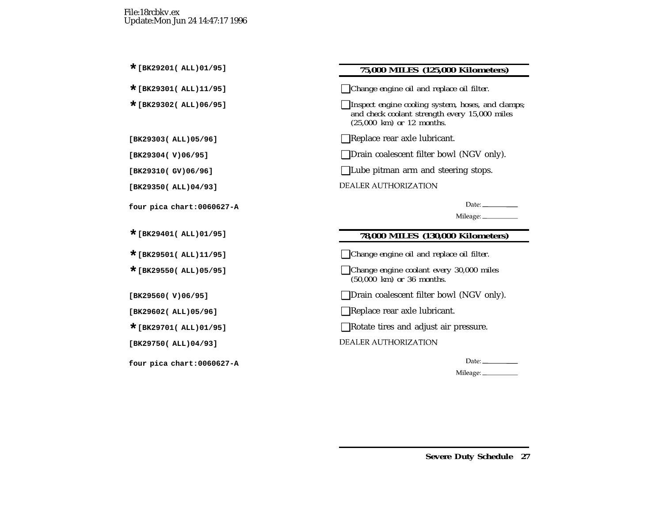#### **\*[BK29201( ALL)01/95] 75,000 MILES (125,000 Kilometers)**

**\*[BK29301( ALL)11/95]** ❑*Change engine oil and replace oil filter.*

**\*[BK29302( ALL)06/95]** ❑*Inspect engine cooling system, hoses, and clamps; and check coolant strength every 15,000 miles (25,000 km) or 12 months.*

**[BK29303( ALL)05/96]** ❑Replace rear axle lubricant.

**□Drain coalescent filter bowl (NGV only).** 

**[BK29310( GV)06/96]** ❑Lube pitman arm and steering stops.

**DEALER AUTHORIZATION** 

Date:  $\_\_$ 

Mileage:

### **\*[BK29401( ALL)01/95] 78,000 MILES (130,000 Kilometers)**

**\*[BK29501( ALL)11/95]** ❑*Change engine oil and replace oil filter.*

**\*[BK29550( ALL)05/95]** ❑*Change engine coolant every 30,000 miles (50,000 km) or 36 months.*

- **[BK29560( V)06/95]** ❑Drain coalescent filter bowl (NGV only).
- **[BK29602( ALL)05/96]** ❑Replace rear axle lubricant.
- **\*[BK29701( ALL)01/95]** ❑Rotate tires and adjust air pressure.

DEALER AUTHORIZATION

Date:  $\frac{1}{\sqrt{1-\frac{1}{2}}\sqrt{1-\frac{1}{2}}\left(1-\frac{1}{2}\right)}$ 

Mileage: \_\_\_\_\_\_\_\_\_\_\_

**Severe Duty Schedule 27**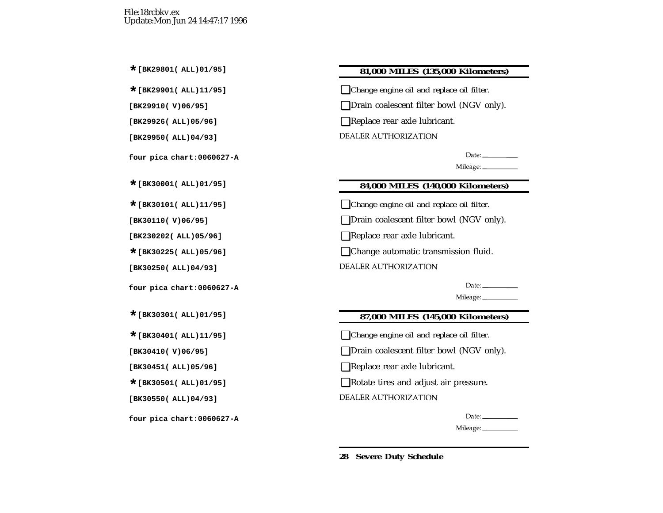### **\*[BK29801( ALL)01/95] 81,000 MILES (135,000 Kilometers)**

**\*[BK29901( ALL)11/95]** ❑*Change engine oil and replace oil filter.*

**[BK29910( V)06/95]** ❑Drain coalescent filter bowl (NGV only).

**[BK29926( ALL)05/96]** ❑Replace rear axle lubricant.

**DEALER AUTHORIZATION** 

Date:  $\_\_$ 

Mileage: \_\_\_\_\_\_\_\_\_

### **\*[BK30001( ALL)01/95] 84,000 MILES (140,000 Kilometers)**

**\*[BK30101( ALL)11/95]** ❑*Change engine oil and replace oil filter.*

**[BK30110( V)06/95]** ❑Drain coalescent filter bowl (NGV only).

**[BK230202( ALL)05/96]** ❑Replace rear axle lubricant.

■ Change automatic transmission fluid.

**DEALER AUTHORIZATION** 

Date:  $\qquad \qquad$ 

Mileage: \_\_\_\_\_\_\_\_\_\_\_

# **\*[BK30301( ALL)01/95] 87,000 MILES (145,000 Kilometers)**

**\*[BK30401( ALL)11/95]** ❑*Change engine oil and replace oil filter.*

**□Drain coalescent filter bowl (NGV only).** 

**[BK30451( ALL)05/96]** ❑Replace rear axle lubricant.

**\*[BK30501( ALL)01/95]** ❑Rotate tires and adjust air pressure.

**DEALER AUTHORIZATION** 

Date:  $\_\_$ 

Mileage: \_\_\_\_\_\_\_\_\_\_\_\_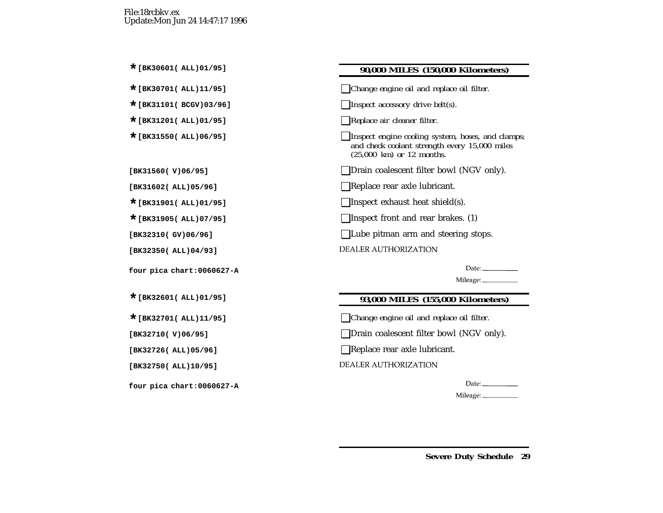## **\*[BK30601( ALL)01/95] 90,000 MILES (150,000 Kilometers)**

**\*[BK30701( ALL)11/95]** ❑*Change engine oil and replace oil filter.*

**\*[BK31101( BCGV)03/96]** ❑*Inspect accessory drive belt(s).*

- **\*[BK31201( ALL)01/95]** ❑*Replace air cleaner filter.*
- **\*[BK31550( ALL)06/95]** ❑*Inspect engine cooling system, hoses, and clamps; and check coolant strength every 15,000 miles (25,000 km) or 12 months.*

**[BK31560( V)06/95]** ❑Drain coalescent filter bowl (NGV only).

**[BK31602( ALL)05/96]** ❑Replace rear axle lubricant.

■Inspect exhaust heat shield(s).

**\*[BK31905( ALL)07/95]** ❑Inspect front and rear brakes. (1)

**[BK32310( GV)06/96]** ❑Lube pitman arm and steering stops.

**DEALER AUTHORIZATION** 

Date:  $\_\_$ 

Mileage: \_\_\_\_\_\_\_\_\_\_\_

## **\*[BK32601( ALL)01/95] 93,000 MILES (155,000 Kilometers)**

**\*[BK32701( ALL)11/95]** ❑*Change engine oil and replace oil filter.*

**□Drain coalescent filter bowl (NGV only).** 

**[BK32726( ALL)05/96]** ❑Replace rear axle lubricant.

**DEALER AUTHORIZATION** 

Date:  $\_\_$ 

Mileage: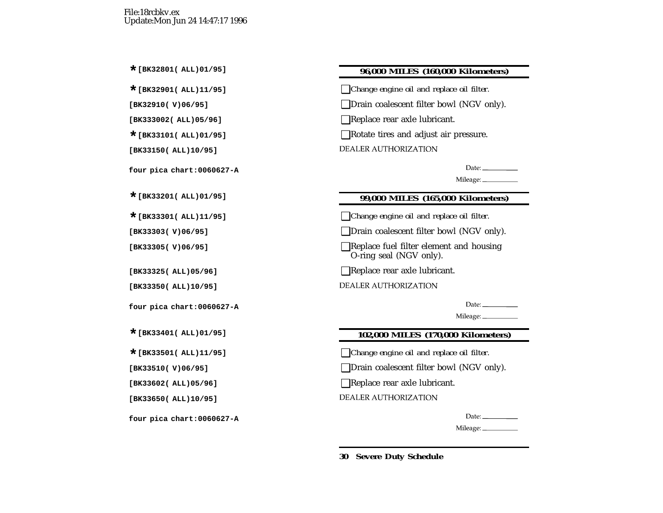#### **\*[BK32801( ALL)01/95] 96,000 MILES (160,000 Kilometers)**

**\*[BK32901( ALL)11/95]** ❑*Change engine oil and replace oil filter.*

**[BK32910( V)06/95]** ❑Drain coalescent filter bowl (NGV only).

**[BK333002( ALL)05/96]** ❑Replace rear axle lubricant.

**■**Rotate tires and adjust air pressure.

**DEALER AUTHORIZATION** 

Date:  $\frac{1}{\sqrt{1-\frac{1}{2}}\sqrt{1-\frac{1}{2}}\sqrt{1-\frac{1}{2}}\sqrt{1-\frac{1}{2}}}}$ 

Mileage: \_\_\_\_\_\_\_\_\_\_\_

## **\*[BK33201( ALL)01/95] 99,000 MILES (165,000 Kilometers)**

**\*[BK33301( ALL)11/95]** ❑*Change engine oil and replace oil filter.*

**[BK33303( V)06/95]** ❑Drain coalescent filter bowl (NGV only).

**[BK33305( V)06/95]** ❑Replace fuel filter element and housing O-ring seal (NGV only).

**[BK33325( ALL)05/96]** ❑Replace rear axle lubricant.

**DEALER AUTHORIZATION** 

Date:  $\frac{1}{2}$ 

Mileage: \_\_\_\_\_\_\_\_\_\_\_\_

# **\*[BK33401( ALL)01/95] 102,000 MILES (170,000 Kilometers)**

**\*[BK33501( ALL)11/95]** ❑*Change engine oil and replace oil filter.*

**[BK33510( V)06/95]** ❑Drain coalescent filter bowl (NGV only).

**[BK33602( ALL)05/96]** ❑Replace rear axle lubricant.

**DEALER AUTHORIZATION** 

Date:  $\_\_$ 

Mileage: \_\_\_\_\_\_\_\_\_\_\_\_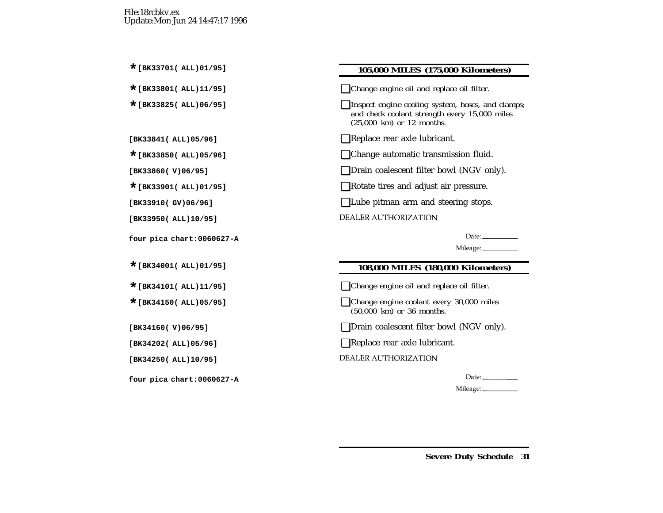# **\*[BK33701( ALL)01/95] 105,000 MILES (175,000 Kilometers)**

**\*[BK33801( ALL)11/95]** ❑*Change engine oil and replace oil filter.*

**\*[BK33825( ALL)06/95]** ❑*Inspect engine cooling system, hoses, and clamps; and check coolant strength every 15,000 miles (25,000 km) or 12 months.*

**[BK33841( ALL)05/96]** ❑Replace rear axle lubricant.

**□ Change automatic transmission fluid.** 

**[BK33860( V)06/95]** ❑Drain coalescent filter bowl (NGV only).

**■Rotate tires and adjust air pressure.** 

**[BK33910( GV)06/96]** ❑Lube pitman arm and steering stops.

**DEALER AUTHORIZATION** 

Date:\_\_\_\_\_\_\_\_\_\_\_\_

Mileage: \_\_\_\_\_\_\_\_\_\_\_\_

# **\*[BK34001( ALL)01/95] 108,000 MILES (180,000 Kilometers)**

**\*[BK34101( ALL)11/95]** ❑*Change engine oil and replace oil filter.*

**\*[BK34150( ALL)05/95]** ❑*Change engine coolant every 30,000 miles (50,000 km) or 36 months.*

**□Drain coalescent filter bowl (NGV only).** 

**[BK34202( ALL)05/96]** ❑Replace rear axle lubricant.

DEALER AUTHORIZATION

Date:  $\_\_$ 

Mileage: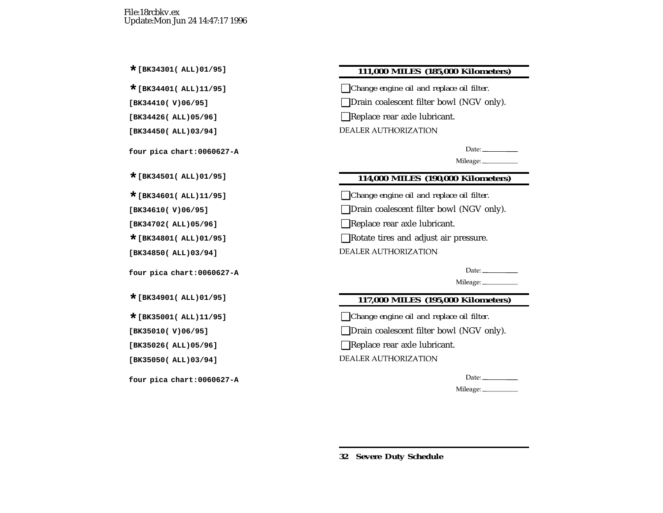### **\*[BK34301( ALL)01/95] 111,000 MILES (185,000 Kilometers)**

**\*[BK34401( ALL)11/95]** ❑*Change engine oil and replace oil filter.*

**[BK34410( V)06/95]** ❑Drain coalescent filter bowl (NGV only).

**□ Replace rear axle lubricant.** 

**DEALER AUTHORIZATION** 

Date:\_\_\_\_\_\_\_\_\_\_\_\_

Mileage:

# **\*[BK34501( ALL)01/95] 114,000 MILES (190,000 Kilometers)**

**\*[BK34601( ALL)11/95]** ❑*Change engine oil and replace oil filter.*

**[BK34610( V)06/95]** ❑Drain coalescent filter bowl (NGV only).

**[BK34702( ALL)05/96]** ❑Replace rear axle lubricant.

**\*[BK34801( ALL)01/95]** ❑Rotate tires and adjust air pressure.

**DEALER AUTHORIZATION** 

Date:  $\frac{1}{\sqrt{1-\frac{1}{2}}\sqrt{1-\frac{1}{2}}\sqrt{1-\frac{1}{2}}\sqrt{1-\frac{1}{2}}}}$ 

Mileage: \_\_\_\_\_\_\_\_\_\_\_

# **\*[BK34901( ALL)01/95] 117,000 MILES (195,000 Kilometers)**

**\*[BK35001( ALL)11/95]** ❑*Change engine oil and replace oil filter.*

**[BK35010( V)06/95]** ❑Drain coalescent filter bowl (NGV only).

**[BK35026( ALL)05/96]** ❑Replace rear axle lubricant.

**DEALER AUTHORIZATION** 

Date:  $\_\_$ 

Mileage: \_\_\_\_\_\_\_\_\_\_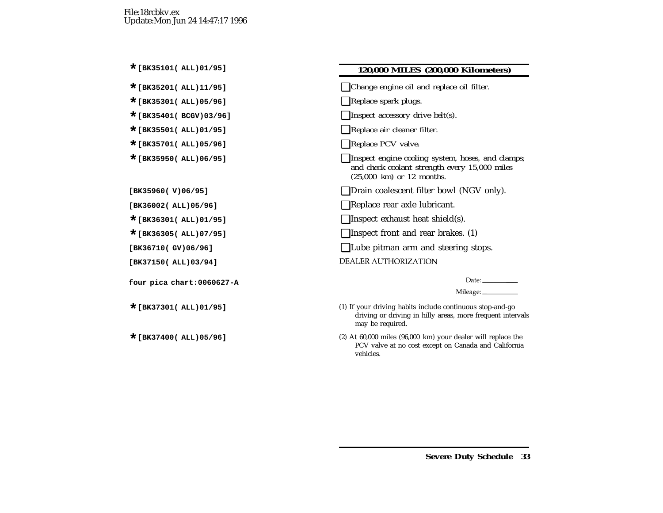#### **\*[BK35101( ALL)01/95] 120,000 MILES (200,000 Kilometers)**

- **\*[BK35201( ALL)11/95]** ❑*Change engine oil and replace oil filter.*
- **\*[BK35301( ALL)05/96]** ❑*Replace spark plugs.*
- **\*[BK35401( BCGV)03/96]** ❑*Inspect accessory drive belt(s).*
- **\*[BK35501( ALL)01/95]** ❑*Replace air cleaner filter.*
- **\*[BK35701( ALL)05/96]** ❑*Replace PCV valve.*
- **\*[BK35950( ALL)06/95]** ❑*Inspect engine cooling system, hoses, and clamps; and check coolant strength every 15,000 miles (25,000 km) or 12 months.*
- **[BK35960( V)06/95]** ❑Drain coalescent filter bowl (NGV only).
- **[BK36002( ALL)05/96]** ❑Replace rear axle lubricant.
- **\*[BK36301( ALL)01/95]** ❑Inspect exhaust heat shield(s).
- **\*[BK36305( ALL)07/95]** ❑Inspect front and rear brakes. (1)
- **[BK36710( GV)06/96]** ❑Lube pitman arm and steering stops.
- **DEALER AUTHORIZATION**

Date:  $\_\_$ 

Mileage: \_\_\_\_\_\_\_\_\_\_\_\_

- **\*[BK37301( ALL)01/95]** (1) If your driving habits include continuous stop-and-go driving or driving in hilly areas, more frequent intervals may be required.
- (2) At 60,000 miles (96,000 km) your dealer will replace the PCV valve at no cost excep<sup>t</sup> on Canada and California vehicles.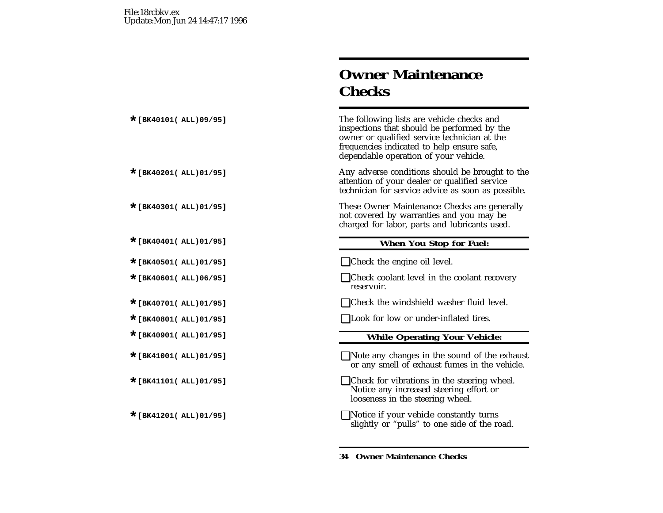# **Owner MaintenanceChecks**

The following lists are vehicle checks and inspections that should be performed by the owner or qualified service technician at the frequencies indicated to help ensure safe, dependable operation of your vehicle.

Any adverse conditions should be brought to the attention of your dealer or qualified service technician for service advice as soon as possible.

**These Owner Maintenance Checks are generally** not covered by warranties and you may be charged for labor, parts and lubricants used.

### **\*[BK40401( ALL)01/95] When You Stop for Fuel:**

**\*[BK40501( ALL)01/95]** ❑Check the engine oil level.

■ Check coolant level in the coolant recovery reservoir.

**■**Check the windshield washer fluid level.

**\*[BK40801( ALL)01/95]** ❑Look for low or under-inflated tires.

#### **\*[BK40901( ALL)01/95] While Operating Your Vehicle:**

- **■**Note any changes in the sound of the exhaust or any smell of exhaust fumes in the vehicle.
- **□ Check for vibrations in the steering wheel.** Notice any increased steering effort or looseness in the steering wheel.
- **■**Notice if your vehicle constantly turns slightly or "pulls" to one side of the road.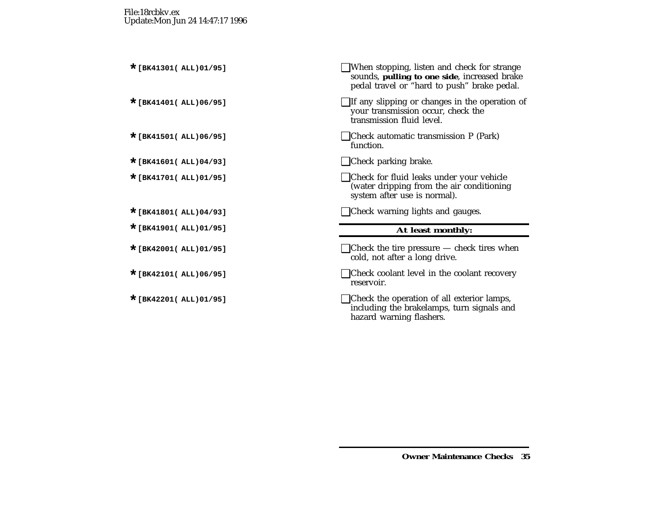| $\Box$ When stopping, listen and check for strange<br>sounds, pulling to one side, increased brake<br>pedal travel or "hard to push" brake pedal. |
|---------------------------------------------------------------------------------------------------------------------------------------------------|
| $\Box$ If any slipping or changes in the operation of<br>your transmission occur, check the<br>transmission fluid level.                          |
| $\Box$ Check automatic transmission P (Park)<br>function.                                                                                         |
| $\Box$ Check parking brake.                                                                                                                       |
| $\Box$ Check for fluid leaks under your vehicle<br>(water dripping from the air conditioning<br>system after use is normal).                      |
| $\Box$ Check warning lights and gauges.                                                                                                           |
| At least monthly:                                                                                                                                 |
| $\Box$ Check the tire pressure $-$ check tires when<br>cold, not after a long drive.                                                              |
| □ Check coolant level in the coolant recovery                                                                                                     |

- **△ △ △ Check coolant level in the coolant recovery** reservoir.
- **△**Check the operation of all exterior lamps, including the brakelamps, turn signals and hazard warning flashers.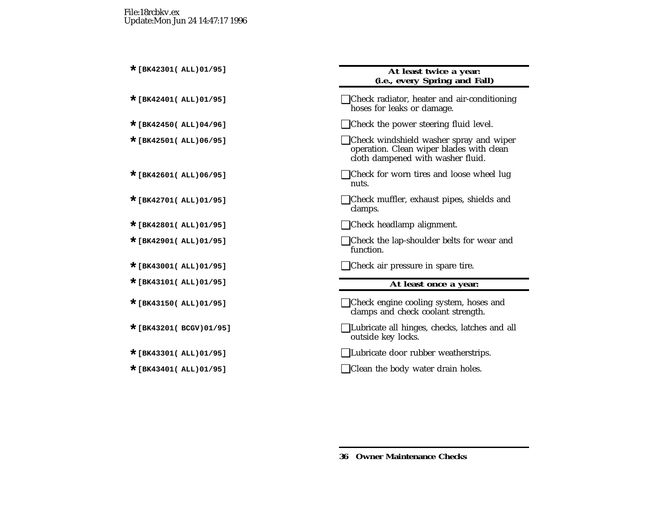#### **\*[BK42301( ALL)01/95] At least twice <sup>a</sup> year: (i.e., every Spring and Fall)**

**□ Check radiator, heater and air-conditioning** hoses for leaks or damage. **□ Check the power steering fluid level. \*[BK42501( ALL)06/95]** ❑Check windshield washer spray and wiper operation. Clean wiper blades with clean cloth dampened with washer fluid. **□ Check for worn tires and loose wheel lug** nuts.**\*[BK42701( ALL)01/95]** ❑Check muffler, exhaust pipes, shields and clamps. **\*[BK42801( ALL)01/95]** ❑Check headlamp alignment. **□ Check the lap-shoulder belts for wear and** function.**\*[BK43001( ALL)01/95]** ❑Check air pressure in spare tire.

#### **\*[BK43101( ALL)01/95] At least once <sup>a</sup> year:**

- **□ Check engine cooling system, hoses and** clamps and check coolant strength.
- **\*[BK43201( BCGV)01/95]** ❑Lubricate all hinges, checks, latches and all outside key locks.
- **\*[BK43301( ALL)01/95]** ❑Lubricate door rubber weatherstrips.
- Clean the body water drain holes.